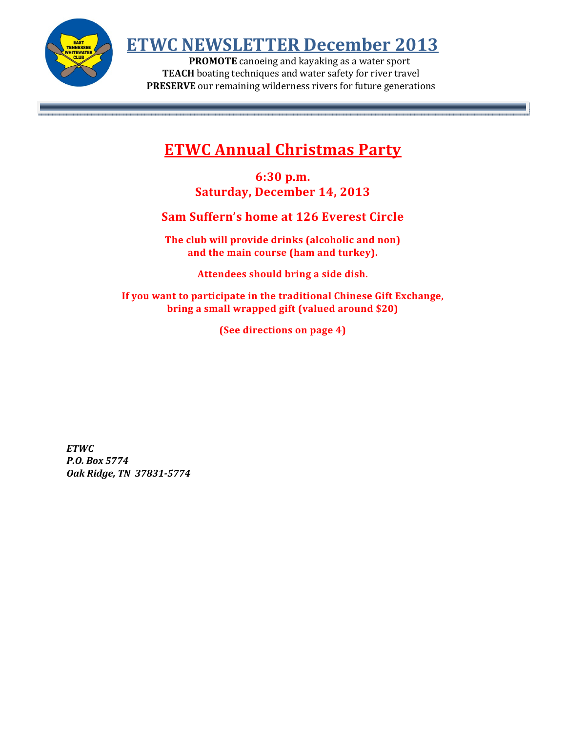

# ETWC NEWSLETTER December 2013

PROMOTE canoeing and kayaking as a water sport TEACH boating techniques and water safety for river travel PRESERVE our remaining wilderness rivers for future generations

# ETWC Annual Christmas Party

6:30 p.m. Saturday, December 14, 2013

# Sam Suffern's home at 126 Everest Circle

The club will provide drinks (alcoholic and non) and the main course (ham and turkey).

Attendees should bring a side dish.

If you want to participate in the traditional Chinese Gift Exchange, bring a small wrapped gift (valued around \$20)

(See directions on page 4)

ETWC P.O. Box 5774 Oak Ridge, TN 37831-5774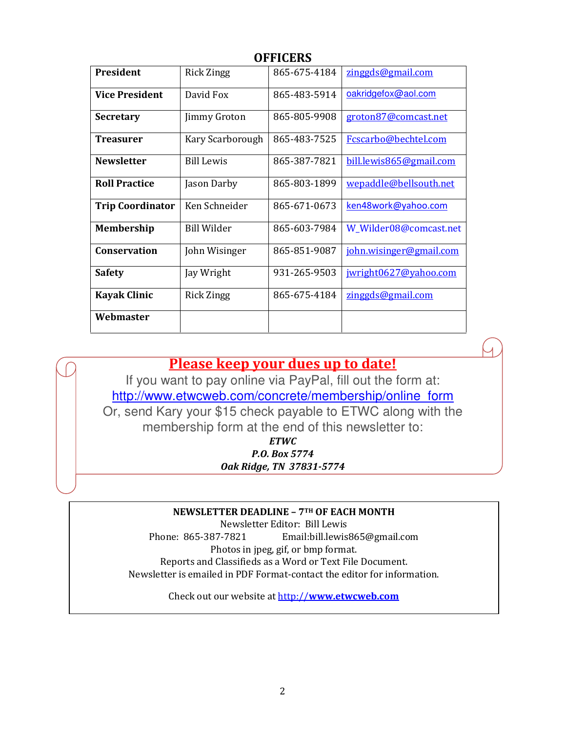| President               | Rick Zingg         | 865-675-4184 | zinggds@gmail.com       |  |  |  |  |  |
|-------------------------|--------------------|--------------|-------------------------|--|--|--|--|--|
| <b>Vice President</b>   | David Fox          | 865-483-5914 | oakridgefox@aol.com     |  |  |  |  |  |
| <b>Secretary</b>        | Jimmy Groton       | 865-805-9908 | groton87@comcast.net    |  |  |  |  |  |
| Treasurer               | Kary Scarborough   | 865-483-7525 | Fcscarbo@bechtel.com    |  |  |  |  |  |
| <b>Newsletter</b>       | <b>Bill Lewis</b>  | 865-387-7821 | bill.lewis865@gmail.com |  |  |  |  |  |
| <b>Roll Practice</b>    | Jason Darby        | 865-803-1899 | wepaddle@bellsouth.net  |  |  |  |  |  |
| <b>Trip Coordinator</b> | Ken Schneider      | 865-671-0673 | ken48work@yahoo.com     |  |  |  |  |  |
| <b>Membership</b>       | <b>Bill Wilder</b> | 865-603-7984 | W_Wilder08@comcast.net  |  |  |  |  |  |
| Conservation            | John Wisinger      | 865-851-9087 | john.wisinger@gmail.com |  |  |  |  |  |
| <b>Safety</b>           | Jay Wright         | 931-265-9503 | jwright0627@yahoo.com   |  |  |  |  |  |
| <b>Kayak Clinic</b>     | Rick Zingg         | 865-675-4184 | zinggds@gmail.com       |  |  |  |  |  |
| Webmaster               |                    |              |                         |  |  |  |  |  |

## **OFFICERS**

# Please keep your dues up to date!

If you want to pay online via PayPal, fill out the form at: http://www.etwcweb.com/concrete/membership/online\_form Or, send Kary your \$15 check payable to ETWC along with the membership form at the end of this newsletter to:

> ETWC P.O. Box 5774 Oak Ridge, TN 37831-5774

## NEWSLETTER DEADLINE – 7TH OF EACH MONTH

Newsletter Editor: Bill Lewis Phone: 865-387-7821 Email:bill.lewis865@gmail.com Photos in jpeg, gif, or bmp format. Reports and Classifieds as a Word or Text File Document. Newsletter is emailed in PDF Format-contact the editor for information.

Check out our website at http://www.etwcweb.com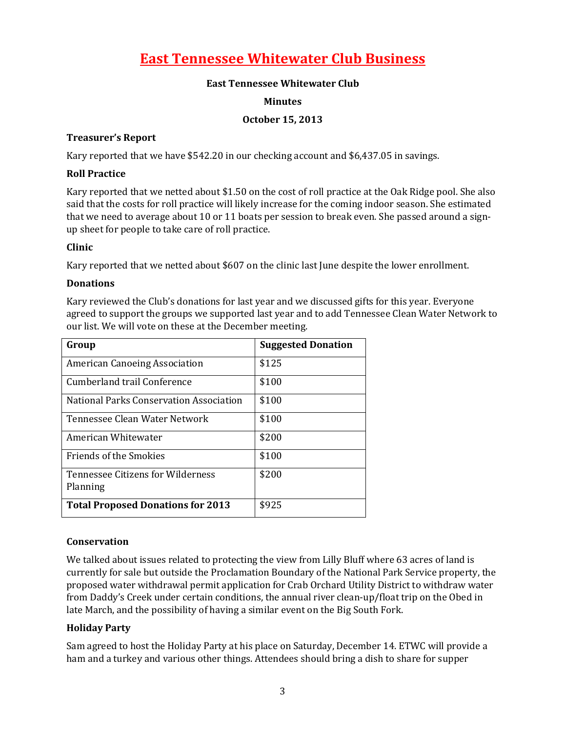# East Tennessee Whitewater Club Business

### East Tennessee Whitewater Club

#### Minutes

#### October 15, 2013

#### Treasurer's Report

Kary reported that we have \$542.20 in our checking account and \$6,437.05 in savings.

#### Roll Practice

Kary reported that we netted about \$1.50 on the cost of roll practice at the Oak Ridge pool. She also said that the costs for roll practice will likely increase for the coming indoor season. She estimated that we need to average about 10 or 11 boats per session to break even. She passed around a signup sheet for people to take care of roll practice.

#### Clinic

Kary reported that we netted about \$607 on the clinic last June despite the lower enrollment.

#### Donations

Kary reviewed the Club's donations for last year and we discussed gifts for this year. Everyone agreed to support the groups we supported last year and to add Tennessee Clean Water Network to our list. We will vote on these at the December meeting.

| Group                                                | <b>Suggested Donation</b> |  |  |
|------------------------------------------------------|---------------------------|--|--|
| American Canoeing Association                        | \$125                     |  |  |
| <b>Cumberland trail Conference</b>                   | \$100                     |  |  |
| National Parks Conservation Association              | \$100                     |  |  |
| Tennessee Clean Water Network                        | \$100                     |  |  |
| American Whitewater                                  | \$200                     |  |  |
| <b>Friends of the Smokies</b>                        | \$100                     |  |  |
| <b>Tennessee Citizens for Wilderness</b><br>Planning | \$200                     |  |  |
| <b>Total Proposed Donations for 2013</b>             | \$925                     |  |  |

## Conservation

We talked about issues related to protecting the view from Lilly Bluff where 63 acres of land is currently for sale but outside the Proclamation Boundary of the National Park Service property, the proposed water withdrawal permit application for Crab Orchard Utility District to withdraw water from Daddy's Creek under certain conditions, the annual river clean-up/float trip on the Obed in late March, and the possibility of having a similar event on the Big South Fork.

## Holiday Party

Sam agreed to host the Holiday Party at his place on Saturday, December 14. ETWC will provide a ham and a turkey and various other things. Attendees should bring a dish to share for supper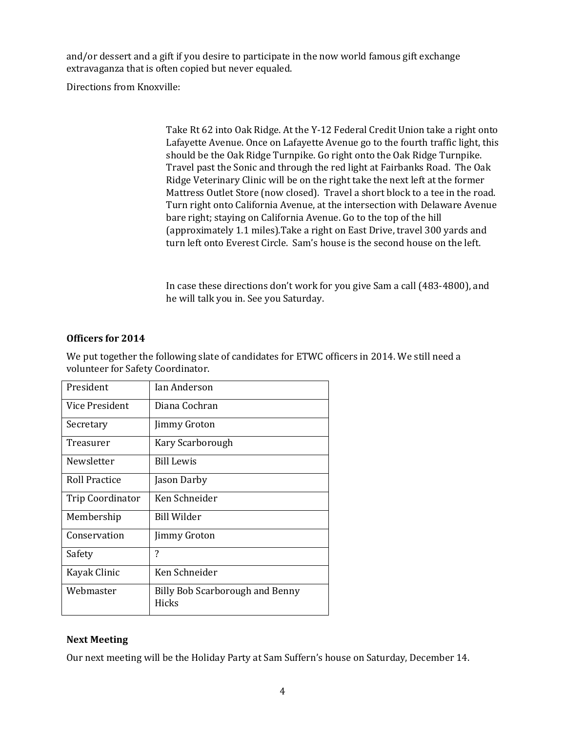and/or dessert and a gift if you desire to participate in the now world famous gift exchange extravaganza that is often copied but never equaled.

Directions from Knoxville:

Take Rt 62 into Oak Ridge. At the Y-12 Federal Credit Union take a right onto Lafayette Avenue. Once on Lafayette Avenue go to the fourth traffic light, this should be the Oak Ridge Turnpike. Go right onto the Oak Ridge Turnpike. Travel past the Sonic and through the red light at Fairbanks Road. The Oak Ridge Veterinary Clinic will be on the right take the next left at the former Mattress Outlet Store (now closed). Travel a short block to a tee in the road. Turn right onto California Avenue, at the intersection with Delaware Avenue bare right; staying on California Avenue. Go to the top of the hill (approximately 1.1 miles).Take a right on East Drive, travel 300 yards and turn left onto Everest Circle. Sam's house is the second house on the left.

In case these directions don't work for you give Sam a call (483-4800), and he will talk you in. See you Saturday.

## Officers for 2014

We put together the following slate of candidates for ETWC officers in 2014. We still need a volunteer for Safety Coordinator.

| President        | <b>Jan Anderson</b>                      |  |  |  |
|------------------|------------------------------------------|--|--|--|
| Vice President   | Diana Cochran                            |  |  |  |
| Secretary        | Jimmy Groton                             |  |  |  |
| Treasurer        | Kary Scarborough                         |  |  |  |
| Newsletter       | <b>Bill Lewis</b>                        |  |  |  |
| Roll Practice    | Jason Darby                              |  |  |  |
| Trip Coordinator | Ken Schneider                            |  |  |  |
| Membership       | Bill Wilder                              |  |  |  |
| Conservation     | Jimmy Groton                             |  |  |  |
| Safety           | 7                                        |  |  |  |
| Kayak Clinic     | Ken Schneider                            |  |  |  |
| Webmaster        | Billy Bob Scarborough and Benny<br>Hicks |  |  |  |

## Next Meeting

Our next meeting will be the Holiday Party at Sam Suffern's house on Saturday, December 14.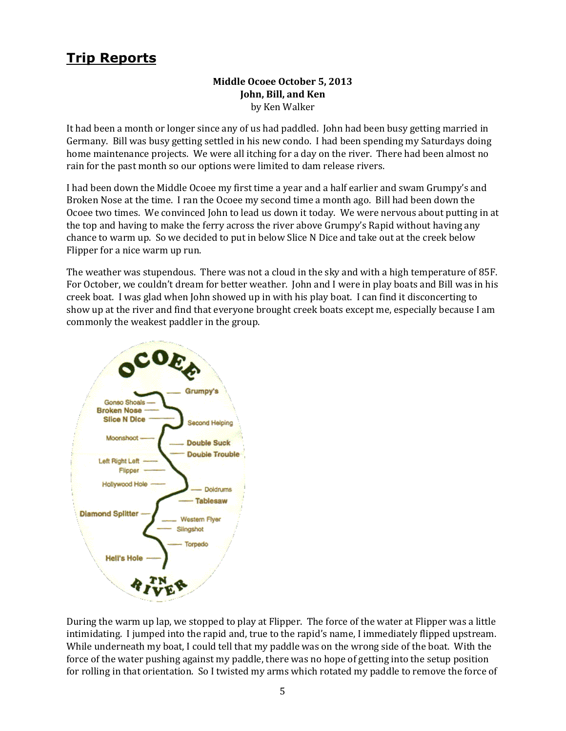# **Trip Reports**

## Middle Ocoee October 5, 2013 John, Bill, and Ken by Ken Walker

It had been a month or longer since any of us had paddled. John had been busy getting married in Germany. Bill was busy getting settled in his new condo. I had been spending my Saturdays doing home maintenance projects. We were all itching for a day on the river. There had been almost no rain for the past month so our options were limited to dam release rivers.

I had been down the Middle Ocoee my first time a year and a half earlier and swam Grumpy's and Broken Nose at the time. I ran the Ocoee my second time a month ago. Bill had been down the Ocoee two times. We convinced John to lead us down it today. We were nervous about putting in at the top and having to make the ferry across the river above Grumpy's Rapid without having any chance to warm up. So we decided to put in below Slice N Dice and take out at the creek below Flipper for a nice warm up run.

The weather was stupendous. There was not a cloud in the sky and with a high temperature of 85F. For October, we couldn't dream for better weather. John and I were in play boats and Bill was in his creek boat. I was glad when John showed up in with his play boat. I can find it disconcerting to show up at the river and find that everyone brought creek boats except me, especially because I am commonly the weakest paddler in the group.



During the warm up lap, we stopped to play at Flipper. The force of the water at Flipper was a little intimidating. I jumped into the rapid and, true to the rapid's name, I immediately flipped upstream. While underneath my boat, I could tell that my paddle was on the wrong side of the boat. With the force of the water pushing against my paddle, there was no hope of getting into the setup position for rolling in that orientation. So I twisted my arms which rotated my paddle to remove the force of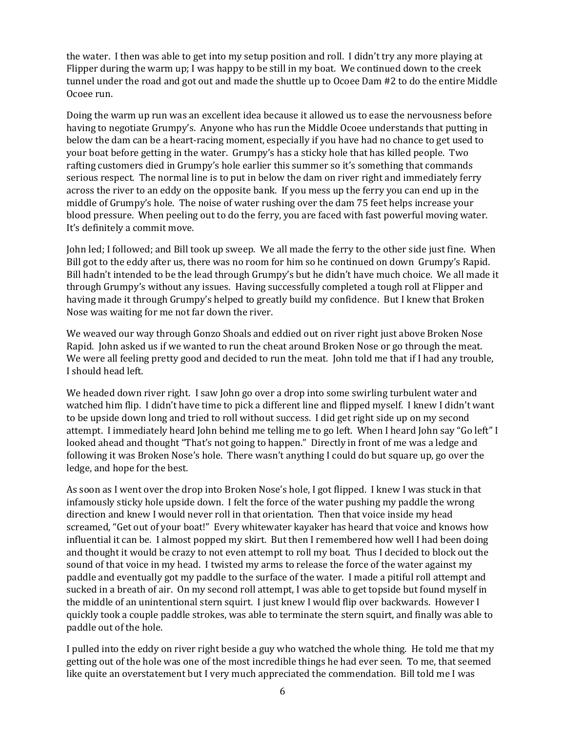the water. I then was able to get into my setup position and roll. I didn't try any more playing at Flipper during the warm up; I was happy to be still in my boat. We continued down to the creek tunnel under the road and got out and made the shuttle up to Ocoee Dam #2 to do the entire Middle Ocoee run.

Doing the warm up run was an excellent idea because it allowed us to ease the nervousness before having to negotiate Grumpy's. Anyone who has run the Middle Ocoee understands that putting in below the dam can be a heart-racing moment, especially if you have had no chance to get used to your boat before getting in the water. Grumpy's has a sticky hole that has killed people. Two rafting customers died in Grumpy's hole earlier this summer so it's something that commands serious respect. The normal line is to put in below the dam on river right and immediately ferry across the river to an eddy on the opposite bank. If you mess up the ferry you can end up in the middle of Grumpy's hole. The noise of water rushing over the dam 75 feet helps increase your blood pressure. When peeling out to do the ferry, you are faced with fast powerful moving water. It's definitely a commit move.

John led; I followed; and Bill took up sweep. We all made the ferry to the other side just fine. When Bill got to the eddy after us, there was no room for him so he continued on down Grumpy's Rapid. Bill hadn't intended to be the lead through Grumpy's but he didn't have much choice. We all made it through Grumpy's without any issues. Having successfully completed a tough roll at Flipper and having made it through Grumpy's helped to greatly build my confidence. But I knew that Broken Nose was waiting for me not far down the river.

We weaved our way through Gonzo Shoals and eddied out on river right just above Broken Nose Rapid. John asked us if we wanted to run the cheat around Broken Nose or go through the meat. We were all feeling pretty good and decided to run the meat. John told me that if I had any trouble, I should head left.

We headed down river right. I saw John go over a drop into some swirling turbulent water and watched him flip. I didn't have time to pick a different line and flipped myself. I knew I didn't want to be upside down long and tried to roll without success. I did get right side up on my second attempt. I immediately heard John behind me telling me to go left. When I heard John say "Go left" I looked ahead and thought "That's not going to happen." Directly in front of me was a ledge and following it was Broken Nose's hole. There wasn't anything I could do but square up, go over the ledge, and hope for the best.

As soon as I went over the drop into Broken Nose's hole, I got flipped. I knew I was stuck in that infamously sticky hole upside down. I felt the force of the water pushing my paddle the wrong direction and knew I would never roll in that orientation. Then that voice inside my head screamed, "Get out of your boat!" Every whitewater kayaker has heard that voice and knows how influential it can be. I almost popped my skirt. But then I remembered how well I had been doing and thought it would be crazy to not even attempt to roll my boat. Thus I decided to block out the sound of that voice in my head. I twisted my arms to release the force of the water against my paddle and eventually got my paddle to the surface of the water. I made a pitiful roll attempt and sucked in a breath of air. On my second roll attempt, I was able to get topside but found myself in the middle of an unintentional stern squirt. I just knew I would flip over backwards. However I quickly took a couple paddle strokes, was able to terminate the stern squirt, and finally was able to paddle out of the hole.

I pulled into the eddy on river right beside a guy who watched the whole thing. He told me that my getting out of the hole was one of the most incredible things he had ever seen. To me, that seemed like quite an overstatement but I very much appreciated the commendation. Bill told me I was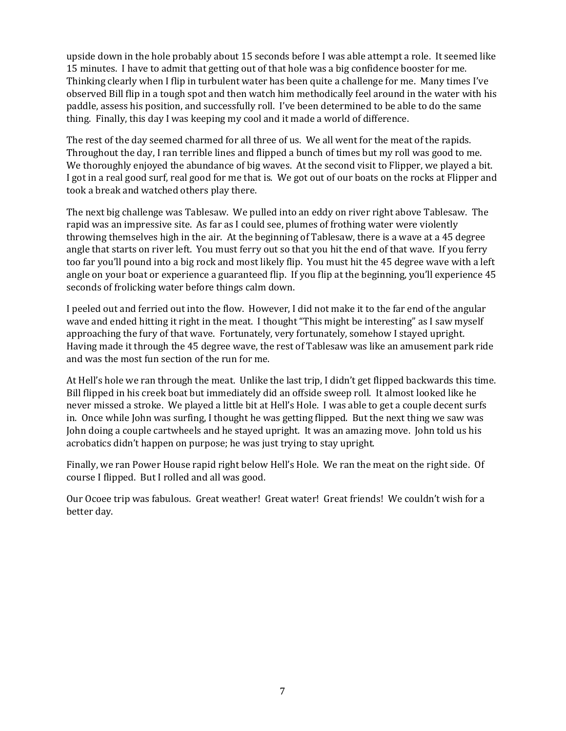upside down in the hole probably about 15 seconds before I was able attempt a role. It seemed like 15 minutes. I have to admit that getting out of that hole was a big confidence booster for me. Thinking clearly when I flip in turbulent water has been quite a challenge for me. Many times I've observed Bill flip in a tough spot and then watch him methodically feel around in the water with his paddle, assess his position, and successfully roll. I've been determined to be able to do the same thing. Finally, this day I was keeping my cool and it made a world of difference.

The rest of the day seemed charmed for all three of us. We all went for the meat of the rapids. Throughout the day, I ran terrible lines and flipped a bunch of times but my roll was good to me. We thoroughly enjoyed the abundance of big waves. At the second visit to Flipper, we played a bit. I got in a real good surf, real good for me that is. We got out of our boats on the rocks at Flipper and took a break and watched others play there.

The next big challenge was Tablesaw. We pulled into an eddy on river right above Tablesaw. The rapid was an impressive site. As far as I could see, plumes of frothing water were violently throwing themselves high in the air. At the beginning of Tablesaw, there is a wave at a 45 degree angle that starts on river left. You must ferry out so that you hit the end of that wave. If you ferry too far you'll pound into a big rock and most likely flip. You must hit the 45 degree wave with a left angle on your boat or experience a guaranteed flip. If you flip at the beginning, you'll experience 45 seconds of frolicking water before things calm down.

I peeled out and ferried out into the flow. However, I did not make it to the far end of the angular wave and ended hitting it right in the meat. I thought "This might be interesting" as I saw myself approaching the fury of that wave. Fortunately, very fortunately, somehow I stayed upright. Having made it through the 45 degree wave, the rest of Tablesaw was like an amusement park ride and was the most fun section of the run for me.

At Hell's hole we ran through the meat. Unlike the last trip, I didn't get flipped backwards this time. Bill flipped in his creek boat but immediately did an offside sweep roll. It almost looked like he never missed a stroke. We played a little bit at Hell's Hole. I was able to get a couple decent surfs in. Once while John was surfing, I thought he was getting flipped. But the next thing we saw was John doing a couple cartwheels and he stayed upright. It was an amazing move. John told us his acrobatics didn't happen on purpose; he was just trying to stay upright.

Finally, we ran Power House rapid right below Hell's Hole. We ran the meat on the right side. Of course I flipped. But I rolled and all was good.

Our Ocoee trip was fabulous. Great weather! Great water! Great friends! We couldn't wish for a better day.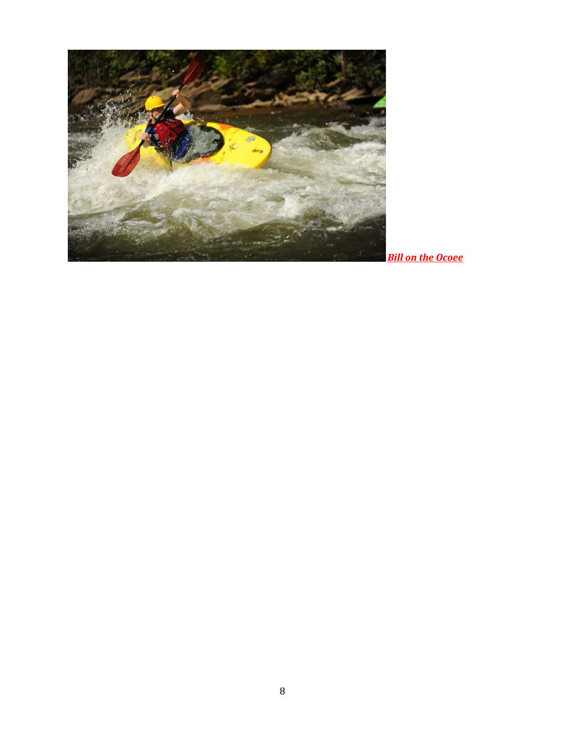

**Bill on the Ocoee**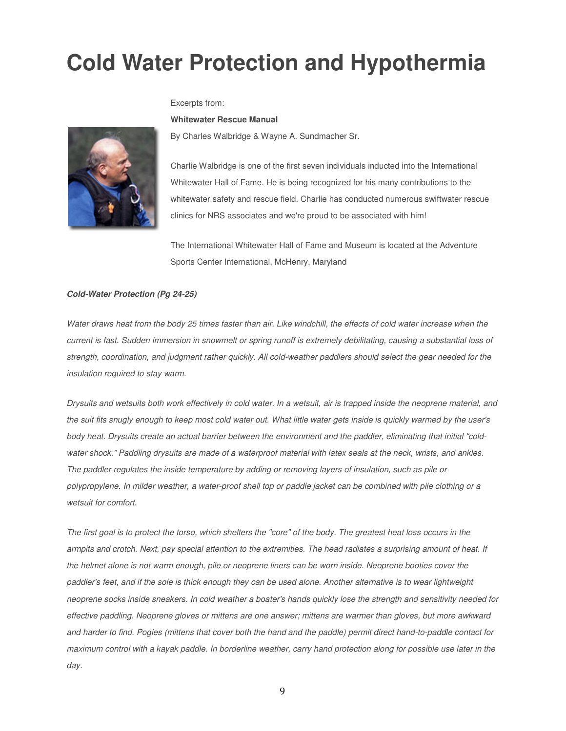# **Cold Water Protection and Hypothermia**

Excerpts from:

**Whitewater Rescue Manual**

By Charles Walbridge & Wayne A. Sundmacher Sr.



The International Whitewater Hall of Fame and Museum is located at the Adventure Sports Center International, McHenry, Maryland

#### **Cold-Water Protection (Pg 24-25)**

Water draws heat from the body 25 times faster than air. Like windchill, the effects of cold water increase when the current is fast. Sudden immersion in snowmelt or spring runoff is extremely debilitating, causing a substantial loss of strength, coordination, and judgment rather quickly. All cold-weather paddlers should select the gear needed for the insulation required to stay warm.

Drysuits and wetsuits both work effectively in cold water. In a wetsuit, air is trapped inside the neoprene material, and the suit fits snugly enough to keep most cold water out. What little water gets inside is quickly warmed by the user's body heat. Drysuits create an actual barrier between the environment and the paddler, eliminating that initial "coldwater shock." Paddling drysuits are made of a waterproof material with latex seals at the neck, wrists, and ankles. The paddler regulates the inside temperature by adding or removing layers of insulation, such as pile or polypropylene. In milder weather, a water-proof shell top or paddle jacket can be combined with pile clothing or a wetsuit for comfort.

The first goal is to protect the torso, which shelters the "core" of the body. The greatest heat loss occurs in the armpits and crotch. Next, pay special attention to the extremities. The head radiates a surprising amount of heat. If the helmet alone is not warm enough, pile or neoprene liners can be worn inside. Neoprene booties cover the paddler's feet, and if the sole is thick enough they can be used alone. Another alternative is to wear lightweight neoprene socks inside sneakers. In cold weather a boater's hands quickly lose the strength and sensitivity needed for effective paddling. Neoprene gloves or mittens are one answer; mittens are warmer than gloves, but more awkward and harder to find. Pogies (mittens that cover both the hand and the paddle) permit direct hand-to-paddle contact for maximum control with a kayak paddle. In borderline weather, carry hand protection along for possible use later in the day.

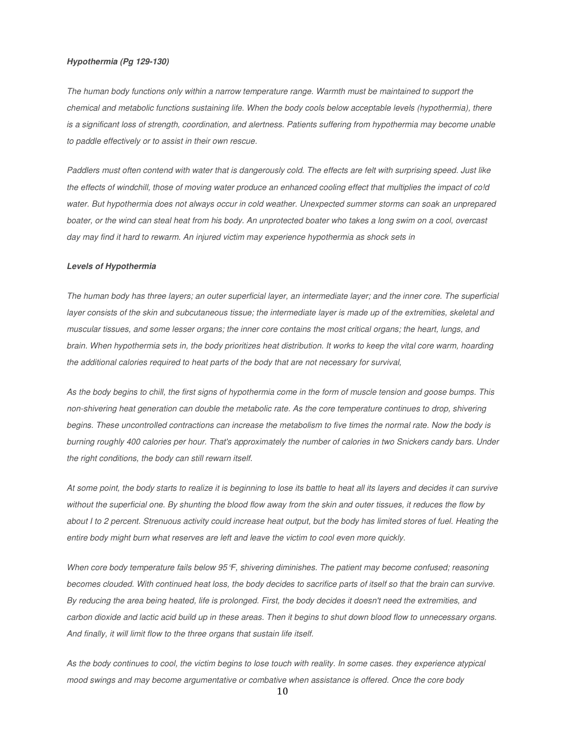#### **Hypothermia (Pg 129-130)**

The human body functions only within a narrow temperature range. Warmth must be maintained to support the chemical and metabolic functions sustaining life. When the body cools below acceptable levels (hypothermia), there is a significant loss of strength, coordination, and alertness. Patients suffering from hypothermia may become unable to paddle effectively or to assist in their own rescue.

Paddlers must often contend with water that is dangerously cold. The effects are felt with surprising speed. Just like the effects of windchill, those of moving water produce an enhanced cooling effect that multiplies the impact of co!d water. But hypothermia does not always occur in cold weather. Unexpected summer storms can soak an unprepared boater, or the wind can steal heat from his body. An unprotected boater who takes a long swim on a cool, overcast day may find it hard to rewarm. An injured victim may experience hypothermia as shock sets in

#### **Levels of Hypothermia**

The human body has three layers; an outer superficial layer, an intermediate layer; and the inner core. The superficial layer consists of the skin and subcutaneous tissue; the intermediate layer is made up of the extremities, skeletal and muscular tissues, and some lesser organs; the inner core contains the most critical organs; the heart, lungs, and brain. When hypothermia sets in, the body prioritizes heat distribution. It works to keep the vital core warm, hoarding the additional calories required to heat parts of the body that are not necessary for survival,

As the body begins to chill, the first signs of hypothermia come in the form of muscle tension and goose bumps. This non-shivering heat generation can double the metabolic rate. As the core temperature continues to drop, shivering begins. These uncontrolled contractions can increase the metabolism to five times the normal rate. Now the body is burning roughly 400 calories per hour. That's approximately the number of calories in two Snickers candy bars. Under the right conditions, the body can still rewarn itself.

At some point, the body starts to realize it is beginning to lose its battle to heat all its layers and decides it can survive without the superficial one. By shunting the blood flow away from the skin and outer tissues, it reduces the flow by about I to 2 percent. Strenuous activity could increase heat output, but the body has limited stores of fuel. Heating the entire body might burn what reserves are left and leave the victim to cool even more quickly.

When core body temperature fails below 95 °F, shivering diminishes. The patient may become confused; reasoning becomes clouded. With continued heat loss, the body decides to sacrifice parts of itself so that the brain can survive. By reducing the area being heated, life is prolonged. First, the body decides it doesn't need the extremities, and carbon dioxide and lactic acid build up in these areas. Then it begins to shut down blood flow to unnecessary organs. And finally, it will limit flow to the three organs that sustain life itself.

As the body continues to cool, the victim begins to lose touch with reality. In some cases. they experience atypical mood swings and may become argumentative or combative when assistance is offered. Once the core body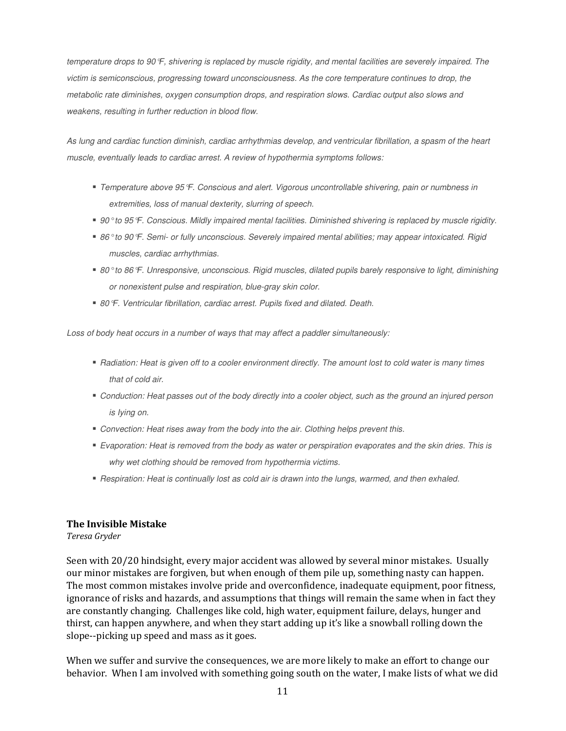temperature drops to 90°F, shivering is replaced by muscle rigidity, and mental facilities are severely impaired. The victim is semiconscious, progressing toward unconsciousness. As the core temperature continues to drop, the metabolic rate diminishes, oxygen consumption drops, and respiration slows. Cardiac output also slows and weakens, resulting in further reduction in blood flow.

As lung and cardiac function diminish, cardiac arrhythmias develop, and ventricular fibrillation, a spasm of the heart muscle, eventually leads to cardiac arrest. A review of hypothermia symptoms follows:

- Temperature above 95°F. Conscious and alert. Vigorous uncontrollable shivering, pain or numbness in extremities, loss of manual dexterity, slurring of speech.
- 90° to 95°F. Conscious. Mildly impaired mental facilities. Diminished shivering is replaced by muscle rigidity.
- 86° to 90°F. Semi- or fully unconscious. Severely impaired mental abilities; may appear intoxicated. Rigid muscles, cardiac arrhythmias.
- 80° to 86°F. Unresponsive, unconscious. Rigid muscles, dilated pupils barely responsive to light, diminishing or nonexistent pulse and respiration, blue-gray skin color.
- 80°F. Ventricular fibrillation, cardiac arrest. Pupils fixed and dilated. Death.

Loss of body heat occurs in a number of ways that may affect a paddler simultaneously:

- Radiation: Heat is given off to a cooler environment directly. The amount lost to cold water is many times that of cold air.
- Conduction: Heat passes out of the body directly into a cooler object, such as the ground an injured person is Iying on.
- **Convection: Heat rises away from the body into the air. Clothing helps prevent this.**
- Evaporation: Heat is removed from the body as water or perspiration evaporates and the skin dries. This is why wet clothing should be removed from hypothermia victims.
- **Respiration: Heat is continually lost as cold air is drawn into the lungs, warmed, and then exhaled.**

#### The Invisible Mistake

Teresa Gryder

Seen with 20/20 hindsight, every major accident was allowed by several minor mistakes. Usually our minor mistakes are forgiven, but when enough of them pile up, something nasty can happen. The most common mistakes involve pride and overconfidence, inadequate equipment, poor fitness, ignorance of risks and hazards, and assumptions that things will remain the same when in fact they are constantly changing. Challenges like cold, high water, equipment failure, delays, hunger and thirst, can happen anywhere, and when they start adding up it's like a snowball rolling down the slope--picking up speed and mass as it goes.

When we suffer and survive the consequences, we are more likely to make an effort to change our behavior. When I am involved with something going south on the water, I make lists of what we did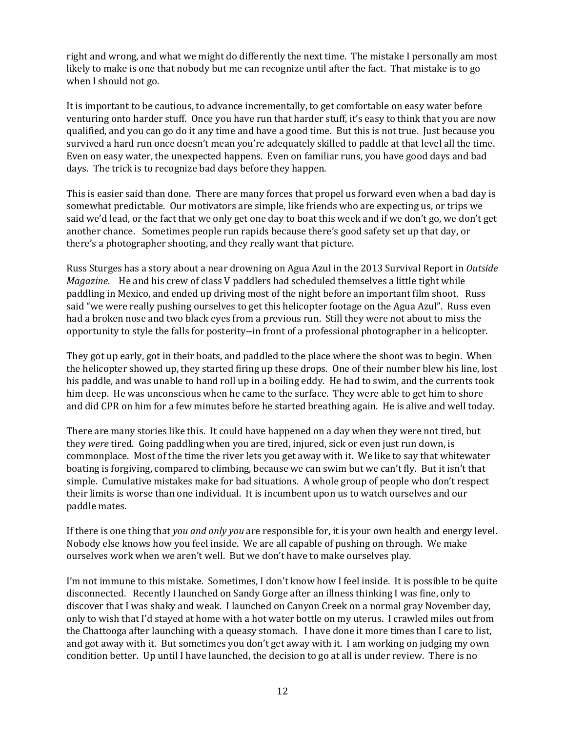right and wrong, and what we might do differently the next time. The mistake I personally am most likely to make is one that nobody but me can recognize until after the fact. That mistake is to go when I should not go.

It is important to be cautious, to advance incrementally, to get comfortable on easy water before venturing onto harder stuff. Once you have run that harder stuff, it's easy to think that you are now qualified, and you can go do it any time and have a good time. But this is not true. Just because you survived a hard run once doesn't mean you're adequately skilled to paddle at that level all the time. Even on easy water, the unexpected happens. Even on familiar runs, you have good days and bad days. The trick is to recognize bad days before they happen.

This is easier said than done. There are many forces that propel us forward even when a bad day is somewhat predictable. Our motivators are simple, like friends who are expecting us, or trips we said we'd lead, or the fact that we only get one day to boat this week and if we don't go, we don't get another chance. Sometimes people run rapids because there's good safety set up that day, or there's a photographer shooting, and they really want that picture.

Russ Sturges has a story about a near drowning on Agua Azul in the 2013 Survival Report in Outside Magazine. He and his crew of class V paddlers had scheduled themselves a little tight while paddling in Mexico, and ended up driving most of the night before an important film shoot. Russ said "we were really pushing ourselves to get this helicopter footage on the Agua Azul". Russ even had a broken nose and two black eyes from a previous run. Still they were not about to miss the opportunity to style the falls for posterity--in front of a professional photographer in a helicopter.

They got up early, got in their boats, and paddled to the place where the shoot was to begin. When the helicopter showed up, they started firing up these drops. One of their number blew his line, lost his paddle, and was unable to hand roll up in a boiling eddy. He had to swim, and the currents took him deep. He was unconscious when he came to the surface. They were able to get him to shore and did CPR on him for a few minutes before he started breathing again. He is alive and well today.

There are many stories like this. It could have happened on a day when they were not tired, but they were tired. Going paddling when you are tired, injured, sick or even just run down, is commonplace. Most of the time the river lets you get away with it. We like to say that whitewater boating is forgiving, compared to climbing, because we can swim but we can't fly. But it isn't that simple. Cumulative mistakes make for bad situations. A whole group of people who don't respect their limits is worse than one individual. It is incumbent upon us to watch ourselves and our paddle mates.

If there is one thing that you and only you are responsible for, it is your own health and energy level. Nobody else knows how you feel inside. We are all capable of pushing on through. We make ourselves work when we aren't well. But we don't have to make ourselves play.

I'm not immune to this mistake. Sometimes, I don't know how I feel inside. It is possible to be quite disconnected. Recently I launched on Sandy Gorge after an illness thinking I was fine, only to discover that I was shaky and weak. I launched on Canyon Creek on a normal gray November day, only to wish that I'd stayed at home with a hot water bottle on my uterus. I crawled miles out from the Chattooga after launching with a queasy stomach. I have done it more times than I care to list, and got away with it. But sometimes you don't get away with it. I am working on judging my own condition better. Up until I have launched, the decision to go at all is under review. There is no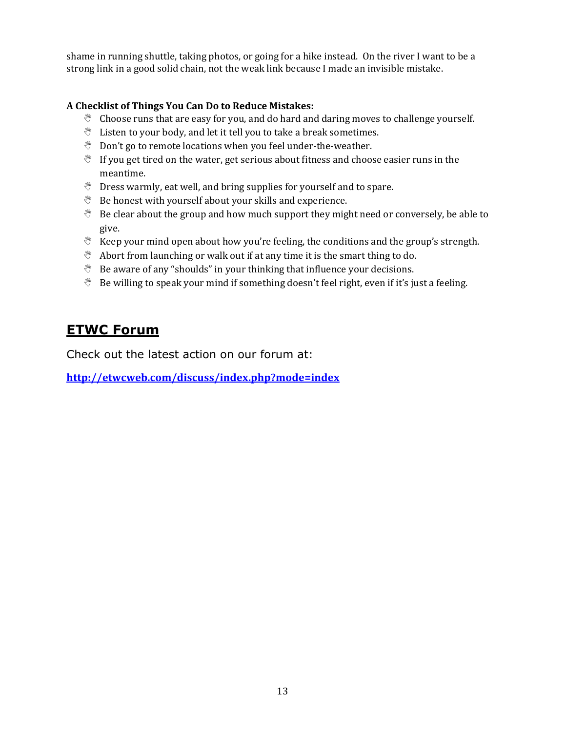shame in running shuttle, taking photos, or going for a hike instead. On the river I want to be a strong link in a good solid chain, not the weak link because I made an invisible mistake.

## A Checklist of Things You Can Do to Reduce Mistakes:

- Choose runs that are easy for you, and do hard and daring moves to challenge yourself.
- $\%$  Listen to your body, and let it tell you to take a break sometimes.
- *<sup>1</sup>* Don't go to remote locations when you feel under-the-weather.
- If you get tired on the water, get serious about fitness and choose easier runs in the meantime.
- $\mathcal Y$  Dress warmly, eat well, and bring supplies for yourself and to spare.
- $\mathcal{F}$  Be honest with yourself about your skills and experience.
- $\mathcal{F}$  Be clear about the group and how much support they might need or conversely, be able to give.
- **EXECUTE:** Keep your mind open about how you're feeling, the conditions and the group's strength.
- $\mathcal Y$  Abort from launching or walk out if at any time it is the smart thing to do.
- $\mathcal{F}$  Be aware of any "shoulds" in your thinking that influence your decisions.
- Be willing to speak your mind if something doesn't feel right, even if it's just a feeling.

# ETWC Forum

Check out the latest action on our forum at:

http://etwcweb.com/discuss/index.php?mode=index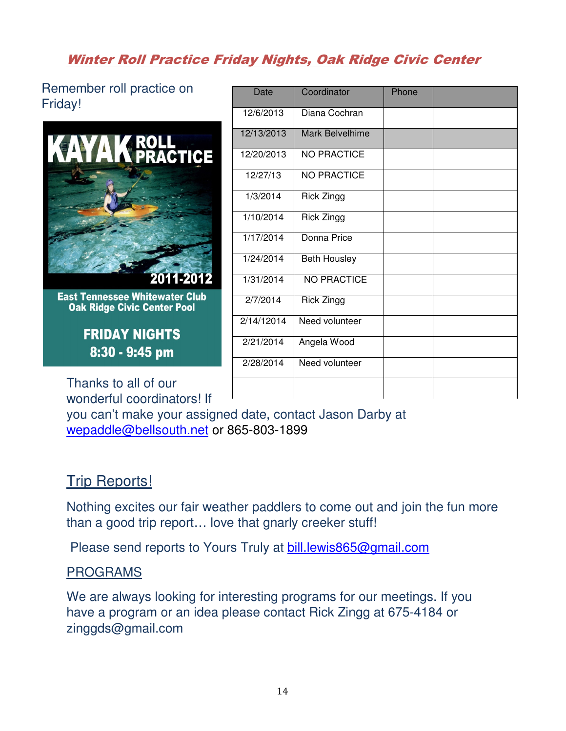# Winter Roll Practice Friday Nights, Oak Ridge Civic Center

Remember roll practice on Friday!



**East Tennessee Whitewater Club Oak Ridge Civic Center Pool** 

> **FRIDAY NIGHTS** 8:30 - 9:45 pm

Date | Coordinator | Phone 12/6/2013 Diana Cochran 12/13/2013 Mark Belvelhime 12/20/2013 NO PRACTICE 12/27/13 NO PRACTICE 1/3/2014 | Rick Zingg 1/10/2014 | Rick Zingg 1/17/2014 Donna Price 1/24/2014 Beth Housley 1/31/2014 NO PRACTICE 2/7/2014 Rick Zingg 2/14/12014 Need volunteer 2/21/2014 Angela Wood 2/28/2014 Need volunteer

Thanks to all of our wonderful coordinators! If

you can't make your assigned date, contact Jason Darby at wepaddle@bellsouth.net or 865-803-1899

# Trip Reports!

Nothing excites our fair weather paddlers to come out and join the fun more than a good trip report… love that gnarly creeker stuff!

Please send reports to Yours Truly at bill.lewis865@gmail.com

# PROGRAMS

We are always looking for interesting programs for our meetings. If you have a program or an idea please contact Rick Zingg at 675-4184 or zinggds@gmail.com